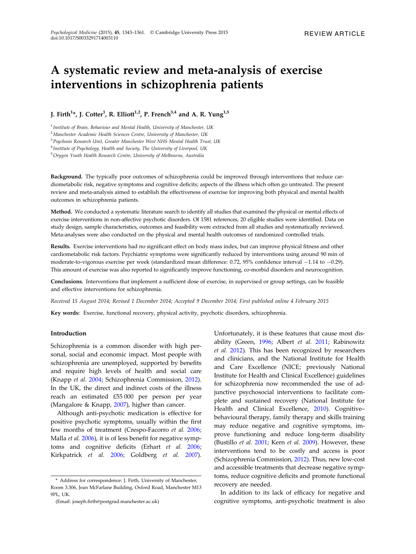# A systematic review and meta-analysis of exercise interventions in schizophrenia patients

# J. Firth<sup>1</sup>\*, J. Cotter<sup>1</sup>, R. Elliott<sup>1,2</sup>, P. French<sup>3,4</sup> and A. R. Yung<sup>1,5</sup>

<sup>1</sup> Institute of Brain, Behaviour and Mental Health, University of Manchester, UK

<sup>2</sup> Manchester Academic Health Sciences Centre, University of Manchester, UK

<sup>3</sup>Psychosis Research Unit, Greater Manchester West NHS Mental Health Trust, UK

<sup>4</sup> Institute of Psychology, Health and Society, The University of Liverpool, UK

<sup>5</sup>Orygen Youth Health Research Centre, University of Melbourne, Australia

Background. The typically poor outcomes of schizophrenia could be improved through interventions that reduce cardiometabolic risk, negative symptoms and cognitive deficits; aspects of the illness which often go untreated. The present review and meta-analysis aimed to establish the effectiveness of exercise for improving both physical and mental health outcomes in schizophrenia patients.

Method. We conducted a systematic literature search to identify all studies that examined the physical or mental effects of exercise interventions in non-affective psychotic disorders. Of 1581 references, 20 eligible studies were identified. Data on study design, sample characteristics, outcomes and feasibility were extracted from all studies and systematically reviewed. Meta-analyses were also conducted on the physical and mental health outcomes of randomized controlled trials.

Results. Exercise interventions had no significant effect on body mass index, but can improve physical fitness and other cardiometabolic risk factors. Psychiatric symptoms were significantly reduced by interventions using around 90 min of moderate-to-vigorous exercise per week (standardized mean difference: 0.72, 95% confidence interval <sup>−</sup>1.14 to <sup>−</sup>0.29). This amount of exercise was also reported to significantly improve functioning, co-morbid disorders and neurocognition.

Conclusions. Interventions that implement a sufficient dose of exercise, in supervised or group settings, can be feasible and effective interventions for schizophrenia.

Received 15 August 2014; Revised 1 December 2014; Accepted 9 December 2014; First published online 4 February 2015

Key words: Exercise, functional recovery, physical activity, psychotic disorders, schizophrenia.

## Introduction

Schizophrenia is a common disorder with high personal, social and economic impact. Most people with schizophrenia are unemployed, supported by benefits and require high levels of health and social care (Knapp et al. [2004](#page-16-0); Schizophrenia Commission, [2012](#page-17-0)). In the UK, the direct and indirect costs of the illness reach an estimated £55 000 per person per year (Mangalore & Knapp, [2007](#page-16-0)), higher than cancer.

Although anti-psychotic medication is effective for positive psychotic symptoms, usually within the first few months of treatment (Crespo-Facorro et al. [2006](#page-15-0); Malla *et al.* [2006](#page-16-0)), it is of less benefit for negative symptoms and cognitive deficits (Erhart et al. [2006](#page-15-0); Kirkpatrick et al. [2006](#page-16-0); Goldberg et al. [2007](#page-15-0)).

Unfortunately, it is these features that cause most dis-ability (Green, [1996;](#page-15-0) Albert et al. [2011;](#page-14-0) Rabinowitz et al. [2012\)](#page-16-0). This has been recognized by researchers and clinicians, and the National Institute for Health and Care Excellence (NICE; previously National Institute for Health and Clinical Excellence) guidelines for schizophrenia now recommended the use of adjunctive psychosocial interventions to facilitate complete and sustained recovery (National Institute for Health and Clinical Excellence, [2010\)](#page-16-0). Cognitive– behavioural therapy, family therapy and skills training may reduce negative and cognitive symptoms, improve functioning and reduce long-term disability (Bustillo et al. [2001;](#page-15-0) Kern et al. [2009\)](#page-16-0). However, these interventions tend to be costly and access is poor (Schizophrenia Commission, [2012](#page-17-0)). Thus, new low-cost and accessible treatments that decrease negative symptoms, reduce cognitive deficits and promote functional recovery are needed.

In addition to its lack of efficacy for negative and cognitive symptoms, anti-psychotic treatment is also

<sup>\*</sup> Address for correspondence: J. Firth, University of Manchester, Room 3.306, Jean McFarlane Building, Oxford Road, Manchester M13 9PL, UK.

<sup>(</sup>Email: joseph.firth@postgrad.manchester.ac.uk)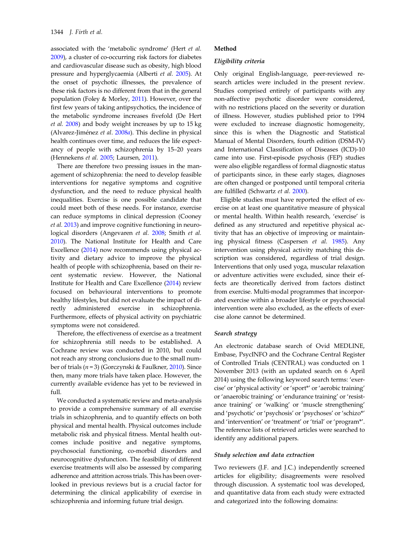associated with the 'metabolic syndrome' (Hert et al. [2009\)](#page-16-0), a cluster of co-occurring risk factors for diabetes and cardiovascular disease such as obesity, high blood pressure and hyperglycaemia (Alberti et al. [2005\)](#page-14-0). At the onset of psychotic illnesses, the prevalence of these risk factors is no different from that in the general population (Foley & Morley, [2011\)](#page-15-0). However, over the first few years of taking antipsychotics, the incidence of the metabolic syndrome increases fivefold (De Hert et al. [2008](#page-15-0)) and body weight increases by up to 15 kg (Alvarez-Jiménez et al. [2008](#page-14-0)a). This decline in physical health continues over time, and reduces the life expectancy of people with schizophrenia by 15–20 years (Hennekens et al. [2005;](#page-16-0) Laursen, [2011\)](#page-16-0).

There are therefore two pressing issues in the management of schizophrenia: the need to develop feasible interventions for negative symptoms and cognitive dysfunction, and the need to reduce physical health inequalities. Exercise is one possible candidate that could meet both of these needs. For instance, exercise can reduce symptoms in clinical depression (Cooney et al. [2013\)](#page-15-0) and improve cognitive functioning in neurological disorders (Angevaren et al. [2008;](#page-14-0) Smith et al. [2010\)](#page-17-0). The National Institute for Health and Care Excellence [\(2014](#page-16-0)) now recommends using physical activity and dietary advice to improve the physical health of people with schizophrenia, based on their recent systematic review. However, the National Institute for Health and Care Excellence [\(2014](#page-16-0)) review focused on behavioural interventions to promote healthy lifestyles, but did not evaluate the impact of directly administered exercise in schizophrenia. Furthermore, effects of physical activity on psychiatric symptoms were not considered.

Therefore, the effectiveness of exercise as a treatment for schizophrenia still needs to be established. A Cochrane review was conducted in 2010, but could not reach any strong conclusions due to the small number of trials ( $n = 3$ ) (Gorczynski & Faulkner, [2010\)](#page-15-0). Since then, many more trials have taken place. However, the currently available evidence has yet to be reviewed in full.

We conducted a systematic review and meta-analysis to provide a comprehensive summary of all exercise trials in schizophrenia, and to quantify effects on both physical and mental health. Physical outcomes include metabolic risk and physical fitness. Mental health outcomes include positive and negative symptoms, psychosocial functioning, co-morbid disorders and neurocognitive dysfunction. The feasibility of different exercise treatments will also be assessed by comparing adherence and attrition across trials. This has been overlooked in previous reviews but is a crucial factor for determining the clinical applicability of exercise in schizophrenia and informing future trial design.

# Method

## Eligibility criteria

Only original English-language, peer-reviewed research articles were included in the present review. Studies comprised entirely of participants with any non-affective psychotic disorder were considered, with no restrictions placed on the severity or duration of illness. However, studies published prior to 1994 were excluded to increase diagnostic homogeneity, since this is when the Diagnostic and Statistical Manual of Mental Disorders, fourth edition (DSM-IV) and International Classification of Diseases (ICD)-10 came into use. First-episode psychosis (FEP) studies were also eligible regardless of formal diagnostic status of participants since, in these early stages, diagnoses are often changed or postponed until temporal criteria are fulfilled (Schwartz et al. [2000](#page-17-0)).

Eligible studies must have reported the effect of exercise on at least one quantitative measure of physical or mental health. Within health research, 'exercise' is defined as any structured and repetitive physical activity that has an objective of improving or maintaining physical fitness (Caspersen et al. [1985\)](#page-15-0). Any intervention using physical activity matching this description was considered, regardless of trial design. Interventions that only used yoga, muscular relaxation or adventure activities were excluded, since their effects are theoretically derived from factors distinct from exercise. Multi-modal programmes that incorporated exercise within a broader lifestyle or psychosocial intervention were also excluded, as the effects of exercise alone cannot be determined.

# Search strategy

An electronic database search of Ovid MEDLINE, Embase, PsycINFO and the Cochrane Central Register of Controlled Trials (CENTRAL) was conducted on 1 November 2013 (with an updated search on 6 April 2014) using the following keyword search terms: 'exercise' or 'physical activity' or 'sport\*' or 'aerobic training' or 'anaerobic training' or 'endurance training' or 'resistance training' or 'walking' or 'muscle strengthening' and 'psychotic' or 'psychosis' or 'psychoses' or 'schizo\*' and 'intervention' or 'treatment' or 'trial' or 'program\*'. The reference lists of retrieved articles were searched to identify any additional papers.

## Study selection and data extraction

Two reviewers (J.F. and J.C.) independently screened articles for eligibility; disagreements were resolved through discussion. A systematic tool was developed, and quantitative data from each study were extracted and categorized into the following domains: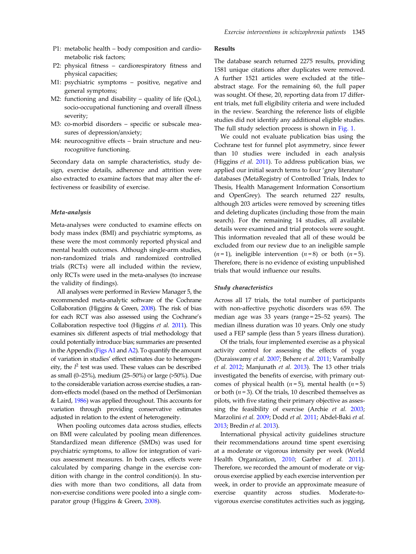- P1: metabolic health body composition and cardiometabolic risk factors;
- P2: physical fitness cardiorespiratory fitness and physical capacities;
- M1: psychiatric symptoms positive, negative and general symptoms;
- M2: functioning and disability quality of life (QoL), socio-occupational functioning and overall illness severity;
- M3: co-morbid disorders specific or subscale measures of depression/anxiety;
- M4: neurocognitive effects brain structure and neurocognitive functioning.

Secondary data on sample characteristics, study design, exercise details, adherence and attrition were also extracted to examine factors that may alter the effectiveness or feasibility of exercise.

# Meta-analysis

Meta-analyses were conducted to examine effects on body mass index (BMI) and psychiatric symptoms, as these were the most commonly reported physical and mental health outcomes. Although single-arm studies, non-randomized trials and randomized controlled trials (RCTs) were all included within the review, only RCTs were used in the meta-analyses (to increase the validity of findings).

All analyses were performed in Review Manager 5, the recommended meta-analytic software of the Cochrane Collaboration (Higgins & Green, [2008](#page-16-0)). The risk of bias for each RCT was also assessed using the Cochrane's Collaboration respective tool (Higgins et al. [2011\)](#page-16-0). This examines six different aspects of trial methodology that could potentially introduce bias; summaries are presented in the Appendix [\(Figs A1](#page-18-0) and [A2](#page-18-0)). To quantify the amount of variation in studies' effect estimates due to heterogeneity, the  $I^2$  test was used. These values can be described as small (0–25%), medium (25–50%) or large (>50%). Due to the considerable variation across exercise studies, a random-effects model (based on the method of DerSimonian & Laird, [1986\)](#page-15-0) was applied throughout. This accounts for variation through providing conservative estimates adjusted in relation to the extent of heterogeneity.

When pooling outcomes data across studies, effects on BMI were calculated by pooling mean differences. Standardized mean difference (SMDs) was used for psychiatric symptoms, to allow for integration of various assessment measures. In both cases, effects were calculated by comparing change in the exercise condition with change in the control condition(s). In studies with more than two conditions, all data from non-exercise conditions were pooled into a single comparator group (Higgins & Green, [2008\)](#page-16-0).

## Results

The database search returned 2275 results, providing 1581 unique citations after duplicates were removed. A further 1521 articles were excluded at the title– abstract stage. For the remaining 60, the full paper was sought. Of these, 20, reporting data from 17 different trials, met full eligibility criteria and were included in the review. Searching the reference lists of eligible studies did not identify any additional eligible studies. The full study selection process is shown in [Fig. 1.](#page-3-0)

We could not evaluate publication bias using the Cochrane test for funnel plot asymmetry, since fewer than 10 studies were included in each analysis (Higgins et al. [2011\)](#page-16-0). To address publication bias, we applied our initial search terms to four 'grey literature' databases (MetaRegistry of Controlled Trials, Index to Thesis, Health Management Information Consortium and OpenGrey). The search returned 227 results, although 203 articles were removed by screening titles and deleting duplicates (including those from the main search). For the remaining 14 studies, all available details were examined and trial protocols were sought. This information revealed that all of these would be excluded from our review due to an ineligible sample  $(n=1)$ , ineligible intervention  $(n=8)$  or both  $(n=5)$ . Therefore, there is no evidence of existing unpublished trials that would influence our results.

## Study characteristics

Across all 17 trials, the total number of participants with non-affective psychotic disorders was 659. The median age was 33 years (range = 25–52 years). The median illness duration was 10 years. Only one study used a FEP sample (less than 5 years illness duration).

Of the trials, four implemented exercise as a physical activity control for assessing the effects of yoga (Duraiswamy et al. [2007;](#page-15-0) Behere et al. [2011;](#page-15-0) Varambally et al. [2012;](#page-17-0) Manjunath et al. [2013](#page-16-0)). The 13 other trials investigated the benefits of exercise, with primary outcomes of physical health ( $n = 5$ ), mental health ( $n = 5$ ) or both ( $n = 3$ ). Of the trials, 10 described themselves as pilots, with five stating their primary objective as assessing the feasibility of exercise (Archie et al. [2003](#page-14-0); Marzolini et al. [2009;](#page-16-0) Dodd et al. [2011](#page-15-0); Abdel-Baki et al. [2013;](#page-14-0) Bredin et al. [2013](#page-15-0)).

International physical activity guidelines structure their recommendations around time spent exercising at a moderate or vigorous intensity per week (World Health Organization, [2010](#page-17-0); Garber et al. [2011](#page-15-0)). Therefore, we recorded the amount of moderate or vigorous exercise applied by each exercise intervention per week, in order to provide an approximate measure of exercise quantity across studies. Moderate-tovigorous exercise constitutes activities such as jogging,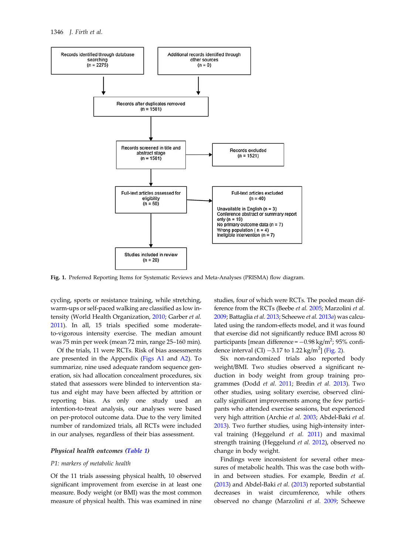1346 J. Firth et al.

<span id="page-3-0"></span>

Fig. 1. Preferred Reporting Items for Systematic Reviews and Meta-Analyses (PRISMA) flow diagram.

cycling, sports or resistance training, while stretching, warm-ups or self-paced walking are classified as low intensity (World Health Organization, [2010](#page-17-0); Garber et al. [2011\)](#page-15-0). In all, 15 trials specified some moderateto-vigorous intensity exercise. The median amount was 75 min per week (mean 72 min, range 25–160 min).

Of the trials, 11 were RCTs. Risk of bias assessments are presented in the Appendix [\(Figs A1](#page-18-0) and [A2\)](#page-18-0). To summarize, nine used adequate random sequence generation, six had allocation concealment procedures, six stated that assessors were blinded to intervention status and eight may have been affected by attrition or reporting bias. As only one study used an intention-to-treat analysis, our analyses were based on per-protocol outcome data. Due to the very limited number of randomized trials, all RCTs were included in our analyses, regardless of their bias assessment.

# Physical health outcomes ([Table 1](#page-4-0))

# P1: markers of metabolic health

Of the 11 trials assessing physical health, 10 observed significant improvement from exercise in at least one measure. Body weight (or BMI) was the most common measure of physical health. This was examined in nine studies, four of which were RCTs. The pooled mean difference from the RCTs (Beebe et al. [2005;](#page-15-0) Marzolini et al. [2009](#page-16-0); Battaglia et al. [2013;](#page-14-0) Scheewe et al. [2013](#page-17-0)a) was calculated using the random-effects model, and it was found that exercise did not significantly reduce BMI across 80 participants [mean difference =  $-0.98 \text{ kg/m}^2$ ; 95% confidence interval (CI)  $-3.17$  to  $1.22 \text{ kg/m}^2$ ] ([Fig. 2\)](#page-8-0).

Six non-randomized trials also reported body weight/BMI. Two studies observed a significant reduction in body weight from group training programmes (Dodd et al. [2011](#page-15-0); Bredin et al. [2013\)](#page-15-0). Two other studies, using solitary exercise, observed clinically significant improvements among the few participants who attended exercise sessions, but experienced very high attrition (Archie et al. [2003;](#page-14-0) Abdel-Baki et al. [2013\)](#page-14-0). Two further studies, using high-intensity inter-val training (Heggelund et al. [2011\)](#page-15-0) and maximal strength training (Heggelund et al. [2012](#page-15-0)), observed no change in body weight.

Findings were inconsistent for several other measures of metabolic health. This was the case both within and between studies. For example, Bredin et al. ([2013\)](#page-15-0) and Abdel-Baki et al. [\(2013](#page-14-0)) reported substantial decreases in waist circumference, while others observed no change (Marzolini et al. [2009](#page-16-0); Scheewe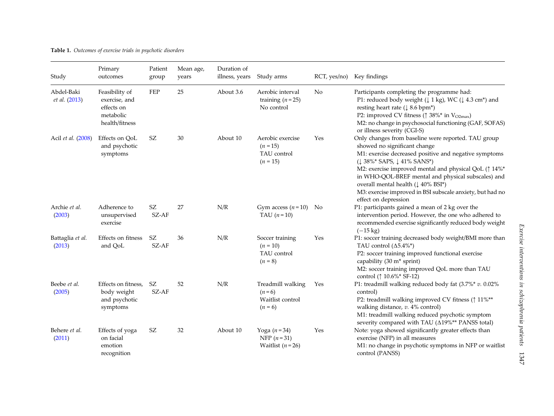#### <span id="page-4-0"></span>**Table 1.** Outcomes of exercise trials in psychotic disorders

| Study                       | Primary<br>outcomes                                                          | Patient<br>group | Mean age,<br>years | Duration of<br>illness, years | Study arms                                                    | RCT, yes/no) | Key findings                                                                                                                                                                                                                                                                                                                                                                                                                                                      |
|-----------------------------|------------------------------------------------------------------------------|------------------|--------------------|-------------------------------|---------------------------------------------------------------|--------------|-------------------------------------------------------------------------------------------------------------------------------------------------------------------------------------------------------------------------------------------------------------------------------------------------------------------------------------------------------------------------------------------------------------------------------------------------------------------|
| Abdel-Baki<br>et al. (2013) | Feasibility of<br>exercise, and<br>effects on<br>metabolic<br>health/fitness | FEP              | 25                 | About 3.6                     | Aerobic interval<br>training $(n=25)$<br>No control           | No           | Participants completing the programme had:<br>P1: reduced body weight ( $\downarrow$ 1 kg), WC ( $\downarrow$ 4.3 cm <sup>*</sup> ) and<br>resting heart rate ( $\downarrow$ 8.6 bpm*)<br>P2: improved CV fitness ( $\uparrow$ 38%* in V <sub>O2max</sub> )<br>M2: no change in psychosocial functioning (GAF, SOFAS)<br>or illness severity (CGI-S)                                                                                                              |
| Acil et al. (2008)          | Effects on QoL<br>and psychotic<br>symptoms                                  | SZ               | 30                 | About 10                      | Aerobic exercise<br>$(n = 15)$<br>TAU control<br>$(n = 15)$   | Yes          | Only changes from baseline were reported. TAU group<br>showed no significant change<br>M1: exercise decreased positive and negative symptoms<br>( $\downarrow$ 38%* SAPS, $\downarrow$ 41% SANS*)<br>M2: exercise improved mental and physical QoL ( $\uparrow$ 14%*<br>in WHO-QOL-BREF mental and physical subscales) and<br>overall mental health ( $\downarrow$ 40% BSI*)<br>M3: exercise improved in BSI subscale anxiety, but had no<br>effect on depression |
| Archie et al.<br>(2003)     | Adherence to<br>unsupervised<br>exercise                                     | SZ<br>SZ-AF      | 27                 | N/R                           | Gym access $(n=10)$<br>TAU $(n=10)$                           | No.          | P1: participants gained a mean of 2 kg over the<br>intervention period. However, the one who adhered to<br>recommended exercise significantly reduced body weight<br>$(-15 \text{ kg})$                                                                                                                                                                                                                                                                           |
| Battaglia et al.<br>(2013)  | Effects on fitness<br>and QoL                                                | SZ<br>SZ-AF      | 36                 | N/R                           | Soccer training<br>$(n = 10)$<br>TAU control<br>$(n = 8)$     | Yes          | P1: soccer training decreased body weight/BMI more than<br>TAU control $(\Delta 5.4\%)^*$<br>P2: soccer training improved functional exercise<br>capability (30 m <sup>*</sup> sprint)<br>M2: soccer training improved QoL more than TAU<br>control ( $\uparrow$ 10.6%* SF-12)                                                                                                                                                                                    |
| Beebe et al.<br>(2005)      | Effects on fitness,<br>body weight<br>and psychotic<br>symptoms              | SZ<br>SZ-AF      | 52                 | N/R                           | Treadmill walking<br>$(n=6)$<br>Waitlist control<br>$(n = 6)$ | Yes          | P1: treadmill walking reduced body fat (3.7%* v. 0.02%<br>control)<br>P2: treadmill walking improved CV fitness ( $\uparrow$ 11%**<br>walking distance, v. 4% control)<br>M1: treadmill walking reduced psychotic symptom<br>severity compared with TAU ( $\Delta$ 19% <sup>**</sup> PANSS total)                                                                                                                                                                 |
| Behere et al.<br>(2011)     | Effects of yoga<br>on facial<br>emotion<br>recognition                       | SZ               | 32                 | About 10                      | Yoga $(n=34)$<br>NFP $(n=31)$<br>Waitlist $(n=26)$            | Yes          | Note: yoga showed significantly greater effects than<br>exercise (NFP) in all measures<br>M1: no change in psychotic symptoms in NFP or waitlist<br>control (PANSS)                                                                                                                                                                                                                                                                                               |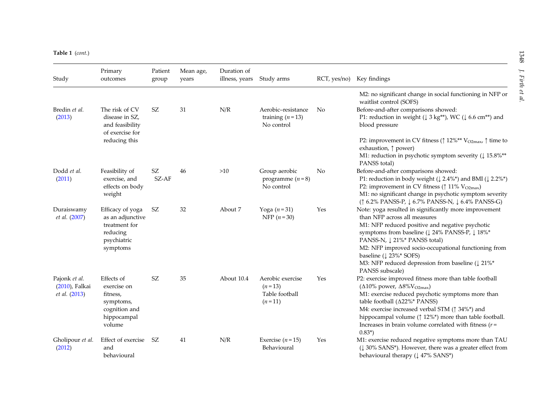Table 1 (cont.)

| Study                                                   | Primary<br>outcomes                                                                          | Patient<br>group                                    | Mean age,<br>years | Duration of<br>illness, years | Study arms                                                 |     | RCT, yes/no) Key findings                                                                                                                                                                                                                                                                                                                                                                                                         |
|---------------------------------------------------------|----------------------------------------------------------------------------------------------|-----------------------------------------------------|--------------------|-------------------------------|------------------------------------------------------------|-----|-----------------------------------------------------------------------------------------------------------------------------------------------------------------------------------------------------------------------------------------------------------------------------------------------------------------------------------------------------------------------------------------------------------------------------------|
| Bredin et al.<br>(2013)                                 | The risk of CV<br>disease in SZ,<br>and feasibility                                          | SZ.                                                 | 31                 | N/R                           | Aerobic-resistance<br>training $(n=13)$<br>No control      | No  | M2: no significant change in social functioning in NFP or<br>waitlist control (SOFS)<br>Before-and-after comparisons showed:<br>P1: reduction in weight ( $\downarrow$ 3 kg <sup>**</sup> ), WC ( $\downarrow$ 6.6 cm <sup>**</sup> ) and<br>blood pressure                                                                                                                                                                       |
|                                                         | of exercise for<br>reducing this                                                             |                                                     |                    |                               | Group aerobic<br>No                                        |     | P2: improvement in CV fitness ( $\uparrow$ 12%** V <sub>O2max</sub> , $\uparrow$ time to<br>exhaustion, ↑ power)<br>M1: reduction in psychotic symptom severity ( $\downarrow$ 15.8%**<br>PANSS total)                                                                                                                                                                                                                            |
| Dodd et al.<br>(2011)                                   | Feasibility of<br>exercise, and<br>effects on body<br>weight                                 | SZ<br>$\ensuremath{\mathsf{SZ}\text{-}\mathsf{AF}}$ | 46                 | >10                           | programme $(n=8)$<br>No control                            |     | Before-and-after comparisons showed:<br>P1: reduction in body weight ( $\downarrow$ 2.4%*) and BMI ( $\downarrow$ 2.2%*)<br>P2: improvement in CV fitness ( $\uparrow$ 11% V <sub>O2max</sub> )<br>M1: no significant change in psychotic symptom severity<br>(↑ 6.2% PANSS-P, ↓ 6.7% PANSS-N, ↓ 6.4% PANSS-G)                                                                                                                    |
| Duraiswamy<br>et al. (2007)                             | Efficacy of yoga<br>as an adjunctive<br>treatment for<br>reducing<br>psychiatric<br>symptoms | SZ                                                  | 32                 | About 7                       | Yoga $(n=31)$<br>NFP $(n = 30)$                            | Yes | Note: yoga resulted in significantly more improvement<br>than NFP across all measures<br>M1: NFP reduced positive and negative psychotic<br>symptoms from baseline ( $\downarrow$ 24% PANSS-P, $\downarrow$ 18%*<br>PANSS-N, ↓ 21%* PANSS total)<br>M2: NFP improved socio-occupational functioning from<br>baseline ( $\downarrow$ 23%* SOFS)<br>M3: NFP reduced depression from baseline ( $\downarrow$ 21%*<br>PANSS subscale) |
| Pajonk et al.<br>(2010), Falkai<br><i>et al.</i> (2013) | Effects of<br>exercise on<br>fitness,<br>symptoms,<br>cognition and<br>hippocampal<br>volume | <b>SZ</b>                                           | 35                 | About 10.4                    | Aerobic exercise<br>$(n=13)$<br>Table football<br>$(n=11)$ | Yes | P2: exercise improved fitness more than table football<br>( $\Delta 10\%$ power, $\Delta 8\%$ V <sub>O2max</sub> )<br>M1: exercise reduced psychotic symptoms more than<br>table football ( $\Delta$ 22%* PANSS)<br>M4: exercise increased verbal STM ( $\uparrow$ 34%*) and<br>hippocampal volume ( $\uparrow$ 12%*) more than table football.<br>Increases in brain volume correlated with fitness $(r =$<br>$0.83^{*}$         |
| Gholipour et al.<br>(2012)                              | Effect of exercise<br>and<br>behavioural                                                     | SZ                                                  | 41                 | N/R                           | Exercise $(n=15)$<br>Behavioural                           | Yes | M1: exercise reduced negative symptoms more than TAU<br>( $\downarrow$ 30% SANS*). However, there was a greater effect from<br>behavioural therapy ( $\downarrow$ 47% SANS*)                                                                                                                                                                                                                                                      |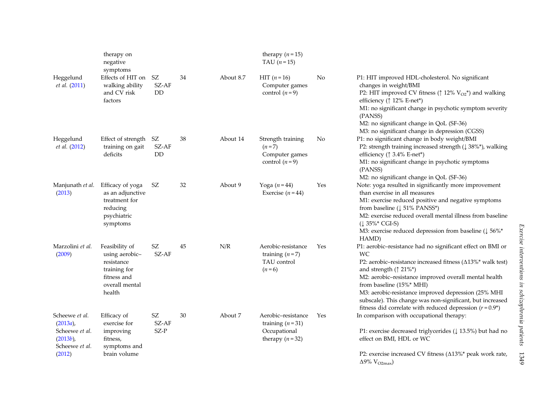|                                                                                            | therapy on<br>negative<br>symptoms                                                                        |                                               |    |           | therapy $(n=15)$<br>TAU $(n=15)$                                            |     |                                                                                                                                                                                                                                                                                                                                                                                                                                                            |
|--------------------------------------------------------------------------------------------|-----------------------------------------------------------------------------------------------------------|-----------------------------------------------|----|-----------|-----------------------------------------------------------------------------|-----|------------------------------------------------------------------------------------------------------------------------------------------------------------------------------------------------------------------------------------------------------------------------------------------------------------------------------------------------------------------------------------------------------------------------------------------------------------|
| Heggelund<br><i>et al.</i> (2011)                                                          | Effects of HIT on<br>walking ability<br>and CV risk<br>factors                                            | SZ<br>SZ-AF<br><b>DD</b>                      | 34 | About 8.7 | $HIT (n = 16)$<br>Computer games<br>control $(n=9)$                         | No  | P1: HIT improved HDL-cholesterol. No significant<br>changes in weight/BMI<br>P2: HIT improved CV fitness ( $\uparrow$ 12% V <sub>O2</sub> *) and walking<br>efficiency († 12% E-net*)<br>M1: no significant change in psychotic symptom severity<br>(PANSS)<br>M2: no significant change in QoL (SF-36)<br>M3: no significant change in depression (CGSS)                                                                                                  |
| Heggelund<br>et al. (2012)                                                                 | Effect of strength<br>training on gait<br>deficits                                                        | SZ<br>SZ-AF<br>DD                             | 38 | About 14  | Strength training<br>$(n=7)$<br>Computer games<br>control $(n=9)$           | No  | P1: no significant change in body weight/BMI<br>P2: strength training increased strength ( $\downarrow$ 38%*), walking<br>efficiency ( $\uparrow$ 3.4% E-net*)<br>M1: no significant change in psychotic symptoms<br>(PANSS)<br>M2: no significant change in QoL (SF-36)                                                                                                                                                                                   |
| Manjunath et al.<br>(2013)                                                                 | Efficacy of yoga<br>as an adjunctive<br>treatment for<br>reducing<br>psychiatric<br>symptoms              | SZ                                            | 32 | About 9   | Yoga $(n=44)$<br>Exercise $(n=44)$                                          | Yes | Note: yoga resulted in significantly more improvement<br>than exercise in all measures<br>M1: exercise reduced positive and negative symptoms<br>from baseline ( $\downarrow$ 51% PANSS*)<br>M2: exercise reduced overall mental illness from baseline<br>$(135\%$ * CGI-S)<br>M3: exercise reduced depression from baseline ( $\downarrow$ 56%*<br>HAMD)                                                                                                  |
| Marzolini et al.<br>(2009)                                                                 | Feasibility of<br>using aerobic-<br>resistance<br>training for<br>fitness and<br>overall mental<br>health | SZ<br>SZ-AF                                   | 45 | N/R       | Aerobic-resistance<br>training $(n=7)$<br>TAU control<br>$(n=6)$            | Yes | P1: aerobic-resistance had no significant effect on BMI or<br><b>WC</b><br>P2: aerobic-resistance increased fitness ( $\Delta$ 13%* walk test)<br>and strength ( $\uparrow$ 21%*)<br>M2: aerobic-resistance improved overall mental health<br>from baseline (15%* MHI)<br>M3: aerobic-resistance improved depression (25% MHI<br>subscale). This change was non-significant, but increased<br>fitness did correlate with reduced depression ( $r = 0.9$ *) |
| Scheewe et al.<br>$(2013a)$ ,<br>Scheewe et al.<br>$(2013b)$ ,<br>Scheewe et al.<br>(2012) | Efficacy of<br>exercise for<br>improving<br>fitness,<br>symptoms and<br>brain volume                      | $\ensuremath{\mathrm{SZ}}$<br>SZ-AF<br>$SZ-P$ | 30 | About 7   | Aerobic-resistance<br>training $(n=31)$<br>Occupational<br>therapy $(n=32)$ | Yes | In comparison with occupational therapy:<br>P1: exercise decreased triglycerides ( $\downarrow$ 13.5%) but had no<br>effect on BMI, HDL or WC<br>P2: exercise increased CV fitness ( $\Delta$ 13%* peak work rate,<br>$\Delta 9\%$ V <sub>O2max</sub> )                                                                                                                                                                                                    |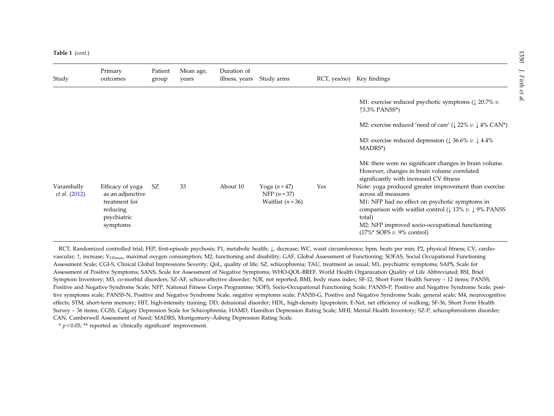| Study                              | Primary<br>outcomes                                                                          | Patient<br>group | Mean age,<br>years | Duration of<br>illness, years | Study arms                                             |     | RCT, yes/no) Key findings                                                                                                                                                                                                                                                                                                                                                                                                                                        |
|------------------------------------|----------------------------------------------------------------------------------------------|------------------|--------------------|-------------------------------|--------------------------------------------------------|-----|------------------------------------------------------------------------------------------------------------------------------------------------------------------------------------------------------------------------------------------------------------------------------------------------------------------------------------------------------------------------------------------------------------------------------------------------------------------|
|                                    |                                                                                              |                  |                    |                               |                                                        |     | M1: exercise reduced psychotic symptoms ( $\downarrow$ 20.7% v.<br><b>13.3% PANSS*)</b><br>M2: exercise reduced 'need of care' ( $\downarrow$ 22% v. $\downarrow$ 4% CAN*)<br>M3: exercise reduced depression ( $\downarrow$ 36.6% v. $\downarrow$ 4.4%<br>MADRS <sup>*</sup> )                                                                                                                                                                                  |
| Varambally<br><i>et al.</i> (2012) | Efficacy of yoga<br>as an adjunctive<br>treatment for<br>reducing<br>psychiatric<br>symptoms | SZ               | 33                 | About 10                      | Yoga $(n = 47)$<br>NFP $(n = 37)$<br>Waitlist $(n=36)$ | Yes | M4: there were no significant changes in brain volume.<br>However, changes in brain volume correlated<br>significantly with increased CV fitness<br>Note: yoga produced greater improvement than exercise<br>across all measures<br>M1: NFP had no effect on psychotic symptoms in<br>comparison with waitlist control ( $\downarrow$ 13% v. $\downarrow$ 9% PANSS<br>total)<br>M2: NFP improved socio-occupational functioning<br>$(17\%^*$ SOFS v. 9% control) |

RCT, Randomized controlled trial; FEP, first-episode psychosis; P1, metabolic health;  $\downarrow$ , decrease; WC, waist circumference; bpm, beats per min; P2, physical fitness; CV, cardiovascular;  $\uparrow$ , increase; V<sub>O2max</sub>, maximal oxygen consumption; M2, functioning and disability; GAF, Global Assessment of Functioning; SOFAS, Social Occupational Functioning Assessment Scale; CGI-S, Clinical Global Impressions Severity; QoL, quality of life; SZ, schizophrenia; TAU, treatment as usual; M1, psychiatric symptoms; SAPS, Scale for Assessment of Positive Symptoms; SANS, Scale for Assessment of Negative Symptoms; WHO-QOL-BREF, World Health Organization Quality of Life Abbreviated; BSI, Brief Symptom Inventory; M3, co-morbid disorders; SZ-AF, schizo-affective disorder; N/R, not reported; BMI, body mass index; SF-12, Short Form Health Survey – <sup>12</sup> items; PANSS, Positive and Negative Syndrome Scale; NFP, National Fitness Corps Programme; SOFS, Socio-Occupational Functioning Scale; PANSS-P, Positive and Negative Syndrome Scale, positive symptoms scale; PANSS-N, Positive and Negative Syndrome Scale, negative symptoms scale; PANSS-G, Positive and Negative Syndrome Scale; general scale; M4, neurocognitive effects; STM, short-term memory; HIT, high-intensity training; DD, delusional disorder; HDL, high-density lipoprotein; E-Net, net efficiency of walking; SF-36, Short Form Health Survey – 36 items; CGSS, Calgary Depression Scale for Schizophrenia; HAMD, Hamilton Depression Rating Scale; MHI, Mental Health Inventory; SZ-P, schizophreniform disorder; CAN, Camberwell Assessment of Need; MADRS, Montgomery–Åsberg Depression Rating Scale.

 $*$   $p$  < 0.05;  $**$  reported as 'clinically significant' improvement.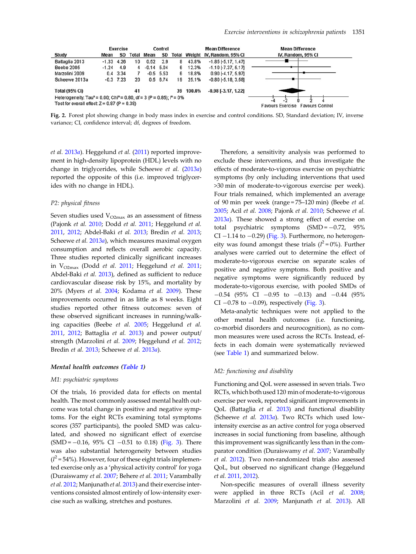<span id="page-8-0"></span>

Fig. 2. Forest plot showing change in body mass index in exercise and control conditions. SD, Standard deviation; IV, inverse variance; CI, confidence interval; df, degrees of freedom.

et al. [2013](#page-16-0)a). Heggelund et al. ([2011\)](#page-15-0) reported improvement in high-density lipoprotein (HDL) levels with no change in triglycerides, while Scheewe et al. ([2013](#page-16-0)a) reported the opposite of this (i.e. improved triglycerides with no change in HDL).

# P2: physical fitness

Seven studies used  $V_{O2max}$  as an assessment of fitness (Pajonk et al. [2010](#page-16-0); Dodd et al. [2011;](#page-15-0) Heggelund et al. [2011,](#page-15-0) [2012;](#page-15-0) Abdel-Baki et al. [2013;](#page-14-0) Bredin et al. [2013](#page-15-0); Scheewe et al. [2013](#page-16-0)a), which measures maximal oxygen consumption and reflects overall aerobic capacity. Three studies reported clinically significant increases in  $V_{\text{O2max}}$  (Dodd *et al.* [2011](#page-15-0); Heggelund *et al.* 2011; Abdel-Baki et al. [2013](#page-14-0)), defined as sufficient to reduce cardiovascular disease risk by 15%, and mortality by 20% (Myers et al. [2004](#page-16-0); Kodama et al. [2009](#page-16-0)). These improvements occurred in as little as 8 weeks. Eight studies reported other fitness outcomes: seven of these observed significant increases in running/walking capacities (Beebe et al. [2005](#page-15-0); Heggelund et al. [2011,](#page-15-0) [2012](#page-15-0); Battaglia et al. [2013\)](#page-14-0) and power output/ strength (Marzolini et al. [2009](#page-16-0); Heggelund et al. [2012](#page-15-0); Bredin et al. [2013;](#page-15-0) Scheewe et al. [2013](#page-16-0)a).

#### Mental health outcomes ([Table 1](#page-4-0))

## M1: psychiatric symptoms

Of the trials, 16 provided data for effects on mental health. The most commonly assessed mental health outcome was total change in positive and negative symptoms. For the eight RCTs examining total symptoms scores (357 participants), the pooled SMD was calculated, and showed no significant effect of exercise  $(SMD = -0.16, 95\% \text{ CI } -0.51 \text{ to } 0.18)$  [\(Fig. 3\)](#page-9-0). There was also substantial heterogeneity between studies  $(I^2 = 54\%)$ . However, four of these eight trials implemented exercise only as a 'physical activity control' for yoga (Duraiswamy et al. [2007;](#page-15-0) Behere et al. [2011;](#page-15-0) Varambally et al. [2012;](#page-17-0) Manjunath et al. [2013\)](#page-16-0) and their exercise interventions consisted almost entirely of low-intensity exercise such as walking, stretches and postures.

Therefore, a sensitivity analysis was performed to exclude these interventions, and thus investigate the effects of moderate-to-vigorous exercise on psychiatric symptoms (by only including interventions that used >30 min of moderate-to-vigorous exercise per week). Four trials remained, which implemented an average of 90 min per week (range = 75–120 min) (Beebe et al. [2005;](#page-15-0) Acil et al. [2008](#page-14-0); Pajonk et al. [2010](#page-16-0); Scheewe et al. [2013](#page-16-0)a). These showed a strong effect of exercise on total psychiatric symptoms (SMD = −0.72, 95% CI  $-1.14$  to  $-0.29$ ) ([Fig. 3](#page-9-0)). Furthermore, no heterogeneity was found amongst these trials ( $l^2 = 0\%$ ). Further analyses were carried out to determine the effect of moderate-to-vigorous exercise on separate scales of positive and negative symptoms. Both positive and negative symptoms were significantly reduced by moderate-to-vigorous exercise, with pooled SMDs of  $-0.54$  (95% CI  $-0.95$  to  $-0.13$ ) and  $-0.44$  (95% CI  $-0.78$  to  $-0.09$ ), respectively [\(Fig. 3](#page-9-0)).

Meta-analytic techniques were not applied to the other mental health outcomes (i.e. functioning, co-morbid disorders and neurocognition), as no common measures were used across the RCTs. Instead, effects in each domain were systematically reviewed (see [Table 1\)](#page-4-0) and summarized below.

# M2: functioning and disability

Functioning and QoL were assessed in seven trials. Two RCTs, which both used 120 min of moderate-to-vigorous exercise per week, reported significant improvements in QoL (Battaglia et al. [2013\)](#page-14-0) and functional disability (Scheewe et al. [2013](#page-16-0)a). Two RCTs which used lowintensity exercise as an active control for yoga observed increases in social functioning from baseline, although this improvement was significantly less than in the comparator condition (Duraiswamy et al. [2007;](#page-15-0) Varambally et al. [2012](#page-17-0)). Two non-randomized trials also assessed QoL, but observed no significant change (Heggelund et al. [2011,](#page-15-0) [2012](#page-15-0)).

Non-specific measures of overall illness severity were applied in three RCTs (Acil et al. [2008](#page-14-0); Marzolini et al. [2009;](#page-16-0) Manjunath et al. [2013](#page-16-0)). All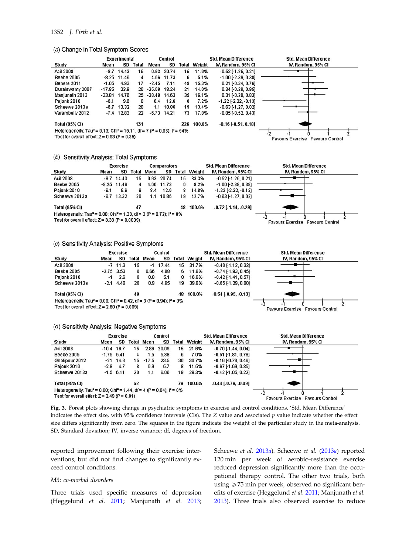# <span id="page-9-0"></span>(a) Change in Total Symptom Scores

|                                                                                                                                                             |                | <b>Experimental</b> |       |                 | Control       |              |        | <b>Std. Mean Difference</b>   | <b>Std. Mean Difference</b>             |
|-------------------------------------------------------------------------------------------------------------------------------------------------------------|----------------|---------------------|-------|-----------------|---------------|--------------|--------|-------------------------------|-----------------------------------------|
| Study                                                                                                                                                       | Mean           | SD                  | Total | Mean            | SD            | <b>Total</b> | Weight | IV, Random, 95% CI            | IV, Random, 95% CI                      |
| <b>Acil 2008</b>                                                                                                                                            | $-8.7$         | 14.43               | 15    | 0.93            | 20.74         | 15           | 11.9%  | $-0.52$ [ $-1.25$ , $0.21$ ]  |                                         |
| <b>Beebe 2005</b>                                                                                                                                           |                | $-8.25$ 11.46       | 4     | 4.66            | 11.73         | 6            | 5.1%   | $-1.00$ $[-2.39, 0.38]$       |                                         |
| Behere 2011                                                                                                                                                 | $-1.05$        | 4.93                | 17    | $-2.45$         | 7.11          | 49           | 15.3%  | $0.21$ [ $-0.34$ , $0.76$ ]   |                                         |
| Duraiswamy 2007                                                                                                                                             | $-17.85$       | 23.9                | 20    | $-25.09$ 18.24  |               | 21           | 14.0%  | $0.34$ [ $-0.28$ , $0.95$ ]   |                                         |
| Manjunath 2013                                                                                                                                              | $-33.84$ 14.76 |                     |       | 25 -38.49 14.63 |               | 35           | 16.1%  | $0.31$ $[-0.20, 0.83]$        |                                         |
| Paionk 2010                                                                                                                                                 | $-6.1$         | 9.6                 | 8     | 8.4             | 12.6          | 8            | 7.2%   | $-1.22$ [ $-2.32$ , $-0.13$ ] |                                         |
| Scheewe 2013a                                                                                                                                               | $-6.7$         | 13.32               | 20    | 1.1             | 10.86         | 19           | 13.4%  | $-0.63$ [ $-1.27, 0.02$ ]     |                                         |
| Varambally 2012                                                                                                                                             |                | $-7.4$ 12.83        | 22    |                 | $-6.73$ 14.21 | 73           | 17.0%  | $-0.05$ $[-0.52, 0.43]$       |                                         |
| <b>Total (95% CI)</b>                                                                                                                                       |                |                     | 131   |                 |               | 226          | 100.0% | $-0.16$ [ $-0.51$ , $0.18$ ]  |                                         |
| Heterogeneity: Tau <sup>2</sup> = 0.13; Chi <sup>2</sup> = 15.11, df = 7 (P = 0.03); l <sup>2</sup> = 54%<br>Test for overall effect: $Z = 0.93$ (P = 0.35) |                |                     |       |                 |               |              |        |                               | <b>Eavours Exercise Eavours Control</b> |

## (b) Sensitivity Analysis: Total Symptoms

|                       | <b>Exercise</b>                                                                                                                                             |               |       |      | <b>Comparators</b> |    |                     | <b>Std. Mean Difference</b>   | <b>Std. Mean Difference</b>             |  |  |  |
|-----------------------|-------------------------------------------------------------------------------------------------------------------------------------------------------------|---------------|-------|------|--------------------|----|---------------------|-------------------------------|-----------------------------------------|--|--|--|
| Study                 | Mean                                                                                                                                                        | SD            | Total | Mean | SD                 |    | <b>Total Weight</b> | IV, Random, 95% CI            | IV, Random, 95% CI                      |  |  |  |
| <b>Acil 2008</b>      |                                                                                                                                                             | $-8.7$ 14.43  | 15    | 0.93 | 20.74              | 15 | 33.3%               | $-0.52$ [ $-1.25$ , $0.21$ ]  |                                         |  |  |  |
| <b>Beebe 2005</b>     |                                                                                                                                                             | $-8.25$ 11.46 | 4     | 4.66 | 11.73              | 6  | 9.2%                | $-1.00$ [ $-2.39$ , 0.38]     |                                         |  |  |  |
| Pajonk 2010           | $-6.1$                                                                                                                                                      | 9.6           | 8     | 8.4  | 12.6               | 8  | 14.8%               | $-1.22$ [ $-2.32$ , $-0.13$ ] |                                         |  |  |  |
| Scheewe 2013a         |                                                                                                                                                             | $-6.7$ 13.32  | 20    | 1.1  | 10.86              | 19 | 42.7%               | $-0.63$ [ $-1.27, 0.02$ ]     |                                         |  |  |  |
| <b>Total (95% CI)</b> |                                                                                                                                                             |               | 47    |      |                    | 48 | 100.0%              | $-0.72$ [ $-1.14$ , $-0.29$ ] | an an                                   |  |  |  |
|                       | Heterogeneity: Tau <sup>2</sup> = 0.00; Chi <sup>2</sup> = 1.33, df = 3 (P = 0.72); i <sup>2</sup> = 0%<br>Test for overall effect: $Z = 3.33$ (P = 0.0009) |               |       |      |                    |    |                     |                               |                                         |  |  |  |
|                       |                                                                                                                                                             |               |       |      |                    |    |                     |                               | <b>Favours Exercise Favours Control</b> |  |  |  |

# (c) Sensitivity Analysis: Positive Symptoms

|                                                                                                                                                                                             |              | <b>Exercise</b><br>Control<br><b>Std. Mean Difference</b> |    |                   |       |    | <b>Std. Mean Difference</b> |                              |                    |  |
|---------------------------------------------------------------------------------------------------------------------------------------------------------------------------------------------|--------------|-----------------------------------------------------------|----|-------------------|-------|----|-----------------------------|------------------------------|--------------------|--|
| Study                                                                                                                                                                                       | Mean         | SD                                                        |    | <b>Total Mean</b> | SD    |    | <b>Total Weight</b>         | IV, Random, 95% CI           | IV, Random, 95% CI |  |
| <b>Acil 2008</b>                                                                                                                                                                            | -7           | 11.3                                                      | 15 | $-1$              | 17.44 | 15 | 31.7%                       | $-0.40$ $-1.12$ , $0.331$    |                    |  |
| <b>Beebe 2005</b>                                                                                                                                                                           | $-2.75$ 3.53 |                                                           | 6  | 0.66              | 4.88  | 6  | 11.8%                       | $-0.74$ [ $-1.93$ , $0.45$ ] |                    |  |
| Pajonk 2010                                                                                                                                                                                 | -1           | 2.6                                                       | 8  | 0.8               | 5.1   | 8  | 16.8%                       | $-0.42$ [ $-1.41$ , $0.57$ ] |                    |  |
| Scheewe 2013a                                                                                                                                                                               |              | $-2.1$ 4.46                                               | 20 | 0.9               | 4.65  | 19 | 39.8%                       | $-0.65$ [ $-1.29$ , $0.001$  |                    |  |
| <b>Total (95% CI)</b>                                                                                                                                                                       |              |                                                           | 49 |                   |       | 48 | 100.0%                      | $-0.54$ [ $-0.95, -0.13$ ]   |                    |  |
| Heterogeneity: Tau <sup>2</sup> = 0.00; Chi <sup>2</sup> = 0.42, df = 3 (P = 0.94); $P = 0\%$<br>Test for overall effect: $Z = 2.60$ (P = 0.009)<br><b>Favours Exercise Favours Control</b> |              |                                                           |    |                   |       |    |                             |                              |                    |  |

## (d) Sensitivity Analysis: Negative Symptoms

|                                                                                                | <b>Exercise</b><br>Control                                                                |             |       |         | <b>Std. Mean Difference</b> | <b>Std. Mean Difference</b> |                     |                               |                    |  |  |  |
|------------------------------------------------------------------------------------------------|-------------------------------------------------------------------------------------------|-------------|-------|---------|-----------------------------|-----------------------------|---------------------|-------------------------------|--------------------|--|--|--|
| Study                                                                                          | Mean                                                                                      | <b>SD</b>   | Total | Mean    | SD                          |                             | <b>Total Weight</b> | IV, Random, 95% CI            | IV, Random, 95% CI |  |  |  |
| <b>Acil 2008</b>                                                                               | $-10.4$ 16.7                                                                              |             | 15    | 2.86    | 20.09                       | 15                          | 21.6%               | $-0.70$ [ $-1.44$ , $0.04$ ]  |                    |  |  |  |
| <b>Beebe 2005</b>                                                                              | $-1.75$ 5.41                                                                              |             | Δ     | 1.5     | 5.88                        | 6                           | 7.0%                | $-0.51$ [ $-1.81$ , $0.78$ ]  |                    |  |  |  |
| Gholipour 2012                                                                                 | -21                                                                                       | 14.8        | 15    | $-17.5$ | 23.5                        | 30                          | 30.7%               | $-0.16$ $[-0.78, 0.46]$       |                    |  |  |  |
| Pajonk 2010                                                                                    | $-2.8$                                                                                    | 4.7         | 8     | 0.9     | 5.7                         | 8                           | 11.5%               | $-0.67$ [ $-1.69$ , $0.35$ ]  |                    |  |  |  |
| Scheewe 2013a                                                                                  |                                                                                           | $-1.5$ 6.11 | 20    | 1.1     | 6.06                        | 19                          | 29.3%               | $-0.42$ [ $-1.05$ , $0.22$ ]  |                    |  |  |  |
| <b>Total (95% CI)</b>                                                                          |                                                                                           |             | 62    |         |                             | 78                          | 100.0%              | $-0.44$ [ $-0.78$ , $-0.09$ ] |                    |  |  |  |
| Heterogeneity: Tau <sup>2</sup> = 0.00; Chi <sup>2</sup> = 1.44, df = 4 (P = 0.84); $I^2$ = 0% |                                                                                           |             |       |         |                             |                             |                     |                               |                    |  |  |  |
|                                                                                                | Test for overall effect: $Z = 2.49$ (P = 0.01)<br><b>Favours Exercise Favours Control</b> |             |       |         |                             |                             |                     |                               |                    |  |  |  |

Fig. 3. Forest plots showing change in psychiatric symptoms in exercise and control conditions. 'Std. Mean Difference' indicates the effect size, with 95% confidence intervals (CIs). The Z value and associated  $p$  value indicate whether the effect size differs significantly from zero. The squares in the figure indicate the weight of the particular study in the meta-analysis. SD, Standard deviation; IV, inverse variance; df, degrees of freedom.

reported improvement following their exercise interventions, but did not find changes to significantly exceed control conditions.

# M3: co-morbid disorders

Three trials used specific measures of depression (Heggelund et al. [2011](#page-15-0); Manjunath et al. [2013](#page-16-0); Scheewe et al. [2013](#page-16-0)a). Scheewe et al. [\(2013](#page-16-0)a) reported 120 min per week of aerobic–resistance exercise reduced depression significantly more than the occupational therapy control. The other two trials, both using  $\geq$  75 min per week, observed no significant benefits of exercise (Heggelund et al. [2011](#page-15-0); Manjunath et al. [2013\)](#page-16-0). Three trials also observed exercise to reduce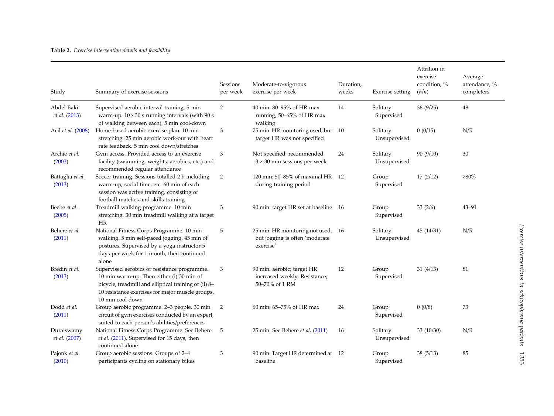#### <span id="page-10-0"></span>Table 2. Exercise intervention details and feasibility

| Study                       | Summary of exercise sessions                                                                                                                                                                                               | Sessions<br>per week | Moderate-to-vigorous<br>exercise per week                                      | Duration,<br>weeks | Exercise setting         | Attrition in<br>exercise<br>condition, %<br>(n/n) | Average<br>attendance, %<br>completers |
|-----------------------------|----------------------------------------------------------------------------------------------------------------------------------------------------------------------------------------------------------------------------|----------------------|--------------------------------------------------------------------------------|--------------------|--------------------------|---------------------------------------------------|----------------------------------------|
| Abdel-Baki<br>et al. (2013) | Supervised aerobic interval training. 5 min<br>warm-up. $10 \times 30$ s running intervals (with 90 s<br>of walking between each). 5 min cool-down                                                                         | $\overline{2}$       | 40 min: 80-95% of HR max<br>running, 50-65% of HR max<br>walking               | 14                 | Solitary<br>Supervised   | 36(9/25)                                          | 48                                     |
| Acil et al. (2008)          | Home-based aerobic exercise plan. 10 min<br>stretching. 25 min aerobic work-out with heart<br>rate feedback. 5 min cool down/stretches                                                                                     | 3                    | 75 min: HR monitoring used, but 10<br>target HR was not specified              |                    | Solitary<br>Unsupervised | 0(0/15)                                           | N/R                                    |
| Archie et al.<br>(2003)     | Gym access. Provided access to an exercise<br>facility (swimming, weights, aerobics, etc.) and<br>recommended regular attendance                                                                                           | 3                    | Not specified: recommended<br>$3 \times 30$ min sessions per week              | 24                 | Solitary<br>Unsupervised | 90(9/10)                                          | 30                                     |
| Battaglia et al.<br>(2013)  | Soccer training. Sessions totalled 2 h including<br>warm-up, social time, etc. 60 min of each<br>session was active training, consisting of<br>football matches and skills training                                        | 2                    | 120 min: 50-85% of maximal HR 12<br>during training period                     |                    | Group<br>Supervised      | 17(2/12)                                          | $>80\%$                                |
| Beebe et al.<br>(2005)      | Treadmill walking programme. 10 min<br>stretching. 30 min treadmill walking at a target<br>HR                                                                                                                              | 3                    | 90 min: target HR set at baseline 16                                           |                    | Group<br>Supervised      | 33(2/6)                                           | $43 - 91$                              |
| Behere et al.<br>(2011)     | National Fitness Corps Programme. 10 min<br>walking. 5 min self-paced jogging. 45 min of<br>postures. Supervised by a yoga instructor 5<br>days per week for 1 month, then continued<br>alone                              | 5                    | 25 min: HR monitoring not used,<br>but jogging is often 'moderate<br>exercise' | - 16               | Solitary<br>Unsupervised | 45(14/31)                                         | N/R                                    |
| Bredin et al.<br>(2013)     | Supervised aerobics or resistance programme.<br>10 min warm-up. Then either (i) 30 min of<br>bicycle, treadmill and elliptical training or (ii) 8-<br>10 resistance exercises for major muscle groups.<br>10 min cool down | 3                    | 90 min: aerobic; target HR<br>increased weekly. Resistance;<br>50-70% of 1 RM  | 12                 | Group<br>Supervised      | 31(4/13)                                          | 81                                     |
| Dodd et al.<br>(2011)       | Group aerobic programme. 2-3 people, 30 min<br>circuit of gym exercises conducted by an expert,<br>suited to each person's abilities/preferences                                                                           | 2                    | 60 min: 65-75% of HR max                                                       | 24                 | Group<br>Supervised      | 0(0/8)                                            | 73                                     |
| Duraiswamy<br>et al. (2007) | National Fitness Corps Programme. See Behere<br>et al. (2011). Supervised for 15 days, then<br>continued alone                                                                                                             | 5                    | 25 min: See Behere et al. (2011)                                               | 16                 | Solitary<br>Unsupervised | 33 (10/30)                                        | N/R                                    |
| Pajonk et al.<br>(2010)     | Group aerobic sessions. Groups of 2-4<br>participants cycling on stationary bikes                                                                                                                                          | 3                    | 90 min: Target HR determined at 12<br>baseline                                 |                    | Group<br>Supervised      | 38(5/13)                                          | 85                                     |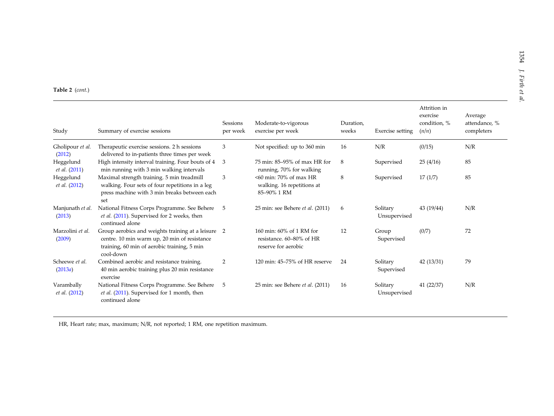Table 2 (cont.)

| Study                              | Summary of exercise sessions                                                                                                                                   | Sessions<br>per week | Moderate-to-vigorous<br>exercise per week                                   | Duration,<br>weeks | Exercise setting         | Attrition in<br>exercise<br>condition, %<br>(n/n) | Average<br>attendance, %<br>completers |
|------------------------------------|----------------------------------------------------------------------------------------------------------------------------------------------------------------|----------------------|-----------------------------------------------------------------------------|--------------------|--------------------------|---------------------------------------------------|----------------------------------------|
| Gholipour et al.<br>(2012)         | Therapeutic exercise sessions. 2 h sessions<br>delivered to in-patients three times per week                                                                   | 3                    | Not specified: up to 360 min                                                | 16                 | N/R                      | (0/15)                                            | N/R                                    |
| Heggelund<br><i>et al.</i> (2011)  | High intensity interval training. Four bouts of 4<br>min running with 3 min walking intervals                                                                  | 3                    | $75$ min: $85-95\%$ of max HR for<br>running, 70% for walking               | 8                  | Supervised               | 25(4/16)                                          | 85                                     |
| Heggelund<br><i>et al.</i> (2012)  | Maximal strength training. 5 min treadmill<br>walking. Four sets of four repetitions in a leg<br>press machine with 3 min breaks between each<br>set           | 3                    | $50$ min: 70% of max HR<br>walking. 16 repetitions at<br>85-90% 1 RM        | 8                  | Supervised               | 17(1/7)                                           | 85                                     |
| Manjunath et al.<br>(2013)         | National Fitness Corps Programme. See Behere<br>et al. (2011). Supervised for 2 weeks, then<br>continued alone                                                 | 5                    | 25 min: see Behere et al. (2011)                                            | 6                  | Solitary<br>Unsupervised | 43 (19/44)                                        | N/R                                    |
| Marzolini et al.<br>(2009)         | Group aerobics and weights training at a leisure 2<br>centre. 10 min warm up, 20 min of resistance<br>training, 60 min of aerobic training, 5 min<br>cool-down |                      | 160 min: 60% of 1 RM for<br>resistance. 60–80% of HR<br>reserve for aerobic | 12                 | Group<br>Supervised      | (0/7)                                             | 72                                     |
| Scheewe et al.<br>(2013a)          | Combined aerobic and resistance training.<br>40 min aerobic training plus 20 min resistance<br>exercise                                                        | 2                    | 120 min: 45-75% of HR reserve                                               | 24                 | Solitary<br>Supervised   | 42(13/31)                                         | 79                                     |
| Varambally<br><i>et al.</i> (2012) | National Fitness Corps Programme. See Behere<br>et al. (2011). Supervised for 1 month, then<br>continued alone                                                 | -5                   | 25 min: see Behere et al. (2011)                                            | 16                 | Solitary<br>Unsupervised | 41(22/37)                                         | N/R                                    |

HR, Heart rate; max, maximum; N/R, not reported; <sup>1</sup> RM, one repetition maximum.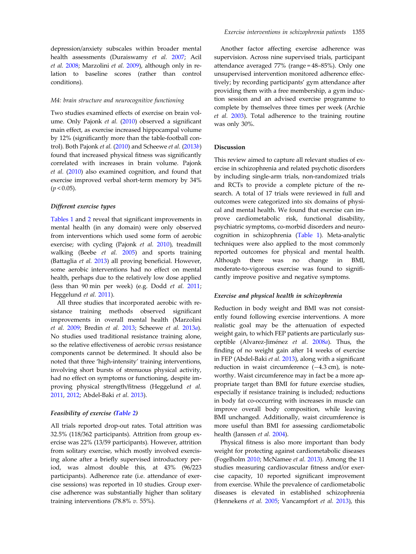depression/anxiety subscales within broader mental health assessments (Duraiswamy et al. [2007;](#page-15-0) Acil et al. [2008](#page-14-0); Marzolini et al. [2009](#page-16-0)), although only in relation to baseline scores (rather than control conditions).

### M4: brain structure and neurocognitive functioning

Two studies examined effects of exercise on brain volume. Only Pajonk et al. [\(2010](#page-16-0)) observed a significant main effect, as exercise increased hippocampal volume by 12% (significantly more than the table-football control). Both Pajonk et al. [\(2010](#page-16-0)) and Scheewe et al. ([2013](#page-17-0)b) found that increased physical fitness was significantly correlated with increases in brain volume. Pajonk et al. ([2010\)](#page-16-0) also examined cognition, and found that exercise improved verbal short-term memory by 34%  $(p < 0.05)$ .

### Different exercise types

[Tables 1](#page-4-0) and [2](#page-10-0) reveal that significant improvements in mental health (in any domain) were only observed from interventions which used some form of aerobic exercise; with cycling (Pajonk et al. [2010\)](#page-16-0), treadmill walking (Beebe et al. [2005](#page-15-0)) and sports training (Battaglia et al. [2013](#page-14-0)) all proving beneficial. However, some aerobic interventions had no effect on mental health, perhaps due to the relatively low dose applied (less than 90 min per week) (e.g. Dodd et al. [2011](#page-15-0); Heggelund et al. [2011\)](#page-15-0).

All three studies that incorporated aerobic with resistance training methods observed significant improvements in overall mental health (Marzolini et al. [2009](#page-16-0); Bredin et al. [2013](#page-15-0); Scheewe et al. [2013](#page-16-0)a). No studies used traditional resistance training alone, so the relative effectiveness of aerobic versus resistance components cannot be determined. It should also be noted that three 'high-intensity' training interventions, involving short bursts of strenuous physical activity, had no effect on symptoms or functioning, despite improving physical strength/fitness (Heggelund et al. [2011,](#page-15-0) [2012;](#page-15-0) Abdel-Baki et al. [2013](#page-14-0)).

# Feasibility of exercise [\(Table 2\)](#page-10-0)

All trials reported drop-out rates. Total attrition was 32.5% (118/362 participants). Attrition from group exercise was 22% (13/59 participants). However, attrition from solitary exercise, which mostly involved exercising alone after a briefly supervised introductory period, was almost double this, at 43% (96/223 participants). Adherence rate (i.e. attendance of exercise sessions) was reported in 10 studies. Group exercise adherence was substantially higher than solitary training interventions (78.8% v. 55%).

Another factor affecting exercise adherence was supervision. Across nine supervised trials, participant attendance averaged 77% (range = 48–85%). Only one unsupervised intervention monitored adherence effectively; by recording participants' gym attendance after providing them with a free membership, a gym induction session and an advised exercise programme to complete by themselves three times per week (Archie et al. [2003](#page-14-0)). Total adherence to the training routine was only 30%.

## Discussion

This review aimed to capture all relevant studies of exercise in schizophrenia and related psychotic disorders by including single-arm trials, non-randomized trials and RCTs to provide a complete picture of the research. A total of 17 trials were reviewed in full and outcomes were categorized into six domains of physical and mental health. We found that exercise can improve cardiometabolic risk, functional disability, psychiatric symptoms, co-morbid disorders and neurocognition in schizophrenia [\(Table 1\)](#page-4-0). Meta-analytic techniques were also applied to the most commonly reported outcomes for physical and mental health. Although there was no change in BMI, moderate-to-vigorous exercise was found to significantly improve positive and negative symptoms.

# Exercise and physical health in schizophrenia

Reduction in body weight and BMI was not consistently found following exercise interventions. A more realistic goal may be the attenuation of expected weight gain, to which FEP patients are particularly susceptible (Alvarez-Jiménez et al. [2008](#page-14-0)a). Thus, the finding of no weight gain after 14 weeks of exercise in FEP (Abdel-Baki et al. [2013](#page-14-0)), along with a significant reduction in waist circumference (−4.3 cm), is noteworthy. Waist circumference may in fact be a more appropriate target than BMI for future exercise studies, especially if resistance training is included; reductions in body fat co-occurring with increases in muscle can improve overall body composition, while leaving BMI unchanged. Additionally, waist circumference is more useful than BMI for assessing cardiometabolic health (Janssen et al. [2004](#page-16-0)).

Physical fitness is also more important than body weight for protecting against cardiometabolic diseases (Fogelholm [2010](#page-15-0); McNamee et al. [2013](#page-16-0)). Among the 11 studies measuring cardiovascular fitness and/or exercise capacity, 10 reported significant improvement from exercise. While the prevalence of cardiometabolic diseases is elevated in established schizophrenia (Hennekens et al. [2005;](#page-16-0) Vancampfort et al. [2013](#page-17-0)), this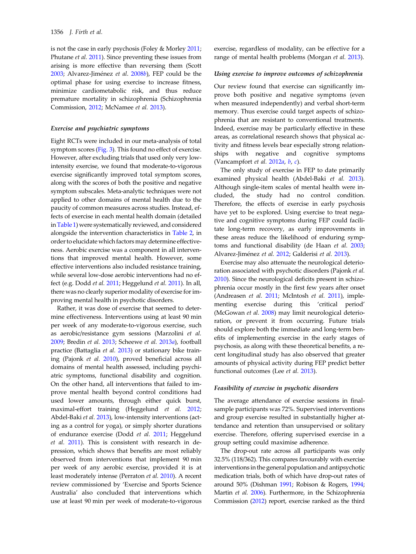is not the case in early psychosis (Foley & Morley [2011](#page-15-0); Phutane et al. [2011](#page-16-0)). Since preventing these issues from arising is more effective than reversing them (Scott [2003;](#page-17-0) Alvarez-Jiménez et al. [2008](#page-14-0)b), FEP could be the optimal phase for using exercise to increase fitness, minimize cardiometabolic risk, and thus reduce premature mortality in schizophrenia (Schizophrenia Commission, [2012](#page-17-0); McNamee et al. [2013](#page-16-0)).

## Exercise and psychiatric symptoms

Eight RCTs were included in our meta-analysis of total symptom scores [\(Fig. 3\)](#page-9-0). This found no effect of exercise. However, after excluding trials that used only very lowintensity exercise, we found that moderate-to-vigorous exercise significantly improved total symptom scores, along with the scores of both the positive and negative symptom subscales. Meta-analytic techniques were not applied to other domains of mental health due to the paucity of common measures across studies. Instead, effects of exercise in each mental health domain (detailed in [Table 1\)](#page-4-0) were systematically reviewed, and considered alongside the intervention characteristics in [Table 2,](#page-10-0) in order to elucidate which factors may determine effectiveness. Aerobic exercise was a component in all interventions that improved mental health. However, some effective interventions also included resistance training, while several low-dose aerobic interventions had no effect (e.g. Dodd et al. [2011](#page-15-0); Heggelund et al. [2011\)](#page-15-0). In all, there was no clearly superior modality of exercise for improving mental health in psychotic disorders.

Rather, it was dose of exercise that seemed to determine effectiveness. Interventions using at least 90 min per week of any moderate-to-vigorous exercise, such as aerobic/resistance gym sessions (Marzolini et al. [2009;](#page-16-0) Bredin et al. [2013;](#page-16-0) Scheewe et al. [2013](#page-16-0)a), football practice (Battaglia et al. [2013\)](#page-14-0) or stationary bike training (Pajonk et al. [2010](#page-16-0)), proved beneficial across all domains of mental health assessed, including psychiatric symptoms, functional disability and cognition. On the other hand, all interventions that failed to improve mental health beyond control conditions had used lower amounts, through either quick burst, maximal-effort training (Heggelund et al. [2012](#page-15-0); Abdel-Baki et al. [2013](#page-14-0)), low-intensity interventions (acting as a control for yoga), or simply shorter durations of endurance exercise (Dodd et al. [2011;](#page-15-0) Heggelund et al. [2011\)](#page-15-0). This is consistent with research in depression, which shows that benefits are most reliably observed from interventions that implement 90 min per week of any aerobic exercise, provided it is at least moderately intense (Perraton et al. [2010\)](#page-16-0). A recent review commissioned by 'Exercise and Sports Science Australia' also concluded that interventions which use at least 90 min per week of moderate-to-vigorous exercise, regardless of modality, can be effective for a range of mental health problems (Morgan et al. [2013](#page-16-0)).

# Using exercise to improve outcomes of schizophrenia

Our review found that exercise can significantly improve both positive and negative symptoms (even when measured independently) and verbal short-term memory. Thus exercise could target aspects of schizophrenia that are resistant to conventional treatments. Indeed, exercise may be particularly effective in these areas, as correlational research shows that physical activity and fitness levels bear especially strong relationships with negative and cognitive symptoms (Van[c](#page-17-0)ampfort *et al.*  $2012a$  $2012a$ , *[b](#page-17-0)*, *c*).

The only study of exercise in FEP to date primarily examined physical health (Abdel-Baki et al. [2013](#page-14-0)). Although single-item scales of mental health were included, the study had no control condition. Therefore, the effects of exercise in early psychosis have yet to be explored. Using exercise to treat negative and cognitive symptoms during FEP could facilitate long-term recovery, as early improvements in these areas reduce the likelihood of enduring symptoms and functional disability (de Haan et al. [2003](#page-15-0); Alvarez-Jiménez et al. [2012;](#page-14-0) Galderisi et al. [2013\)](#page-15-0).

Exercise may also attenuate the neurological deterioration associated with psychotic disorders (Pajonk et al. [2010\)](#page-16-0). Since the neurological deficits present in schizophrenia occur mostly in the first few years after onset (Andreasen et al. [2011](#page-14-0); McIntosh et al. [2011\)](#page-16-0), implementing exercise during this 'critical period' (McGowan et al. [2008\)](#page-16-0) may limit neurological deterioration, or prevent it from occurring. Future trials should explore both the immediate and long-term benefits of implementing exercise in the early stages of psychosis, as along with these theoretical benefits, a recent longitudinal study has also observed that greater amounts of physical activity during FEP predict better functional outcomes (Lee et al. [2013\)](#page-16-0).

## Feasibility of exercise in psychotic disorders

The average attendance of exercise sessions in finalsample participants was 72%. Supervised interventions and group exercise resulted in substantially higher attendance and retention than unsupervised or solitary exercise. Therefore, offering supervised exercise in a group setting could maximise adherence.

The drop-out rate across all participants was only 32.5% (118/362). This compares favourably with exercise interventions in the general population and antipsychotic medication trials, both of which have drop-out rates of around 50% (Dishman [1991](#page-15-0); Robison & Rogers, [1994](#page-16-0); Martin et al. [2006\)](#page-16-0). Furthermore, in the Schizophrenia Commission [\(2012\)](#page-17-0) report, exercise ranked as the third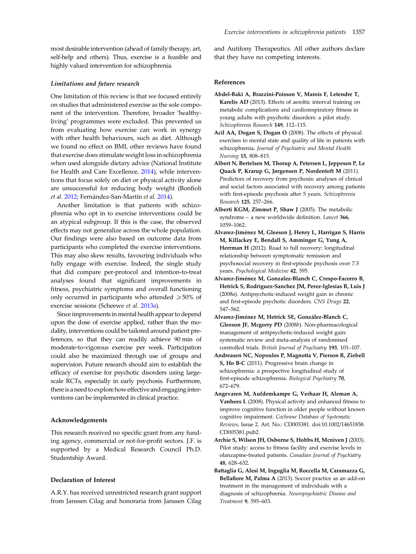<span id="page-14-0"></span>most desirable intervention (ahead of family therapy, art, self-help and others). Thus, exercise is a feasible and highly valued intervention for schizophrenia.

# Limitations and future research

One limitation of this review is that we focused entirely on studies that administered exercise as the sole component of the intervention. Therefore, broader 'healthyliving' programmes were excluded. This prevented us from evaluating how exercise can work in synergy with other health behaviours, such as diet. Although we found no effect on BMI, other reviews have found that exercise does stimulate weight loss in schizophrenia when used alongside dietary advice (National Institute for Health and Care Excellence, [2014](#page-16-0)), while interventions that focus solely on diet or physical activity alone are unsuccessful for reducing body weight (Bonfioli et al. [2012](#page-15-0); Fernández-San-Martín et al. [2014](#page-15-0)).

Another limitation is that patients with schizophrenia who opt in to exercise interventions could be an atypical subgroup. If this is the case, the observed effects may not generalize across the whole population. Our findings were also based on outcome data from participants who completed the exercise interventions. This may also skew results, favouring individuals who fully engage with exercise. Indeed, the single study that did compare per-protocol and intention-to-treat analyses found that significant improvements in fitness, psychiatric symptoms and overall functioning only occurred in participants who attended  $\geq 50\%$  of exercise sessions (Scheewe et al. [2013](#page-16-0)a).

Since improvements in mental health appear to depend upon the dose of exercise applied, rather than the modality, interventions could be tailored around patient preferences, so that they can readily achieve 90 min of moderate-to-vigorous exercise per week. Participation could also be maximized through use of groups and supervision. Future research should aim to establish the efficacy of exercise for psychotic disorders using largescale RCTs, especially in early psychosis. Furthermore, there is a need to explore how effective and engaging interventions can be implemented in clinical practice.

# Acknowledgements

This research received no specific grant from any funding agency, commercial or not-for-profit sectors. J.F. is supported by a Medical Research Council Ph.D. Studentship Award.

# Declaration of Interest

A.R.Y. has received unrestricted research grant support from Janssen Cilag and honoraria from Janssen Cilag and Autifony Therapeutics. All other authors declare that they have no competing interests.

# References

- Abdel-Baki A, Brazzini-Poisson V, Marois F, Letendre T, Karelis AD (2013). Effects of aerobic interval training on metabolic complications and cardiorespiratory fitness in young adults with psychotic disorders: a pilot study. Schizophrenia Research 149, 112–115.
- Acil AA, Dogan S, Dogan O (2008). The effects of physical exercises to mental state and quality of life in patients with schizophrenia. Journal of Psychiatric and Mental Health Nursing 15, 808–815.
- Albert N, Bertelsen M, Thorup A, Petersen L, Jeppesen P, Le Quack P, Krarup G, Jørgensen P, Nordentoft M (2011). Predictors of recovery from psychosis: analyses of clinical and social factors associated with recovery among patients with first-episode psychosis after 5 years. Schizophrenia Research 125, 257–266.
- Alberti KGM, Zimmet P, Shaw J (2005). The metabolic syndrome – a new worldwide definition. Lancet 366, 1059–1062.
- Alvarez-Jiménez M, Gleeson J, Henry L, Harrigan S, Harris M, Killackey E, Bendall S, Amminger G, Yung A, Herrman H (2012). Road to full recovery: longitudinal relationship between symptomatic remission and psychosocial recovery in first-episode psychosis over 7.5 years. Psychological Medicine 42, 595.
- Alvarez-Jiménez M, Gonzalez-Blanch C, Crespo-Facorro B, Hetrick S, Rodriguez-Sanchez JM, Perez-Iglesias R, Luis J (2008a). Antipsychotic-induced weight gain in chronic and first-episode psychotic disorders. CNS Drugs 22, 547–562.
- Alvarez-Jiménez M, Hetrick SE, González-Blanch C, Gleeson JF, Mcgorry PD (2008b). Non-pharmacological management of antipsychotic-induced weight gain: systematic review and meta-analysis of randomised controlled trials. British Journal of Psychiatry 193, 101-107.
- Andreasen NC, Nopoulos P, Magnotta V, Pierson R, Ziebell S, Ho B-C (2011). Progressive brain change in schizophrenia: a prospective longitudinal study of first-episode schizophrenia. Biological Psychiatry 70, 672–679.
- Angevaren M, Aufdemkampe G, Verhaar H, Aleman A, Vanhees L (2008). Physical activity and enhanced fitness to improve cognitive function in older people without known cognitive impairment. Cochrane Database of Systematic Reviews, Issue 2. Art. No.: CD005381. doi:10.1002/14651858. CD005381.pub2.
- Archie S, Wilson JH, Osborne S, Hobbs H, Mcniven J (2003). Pilot study: access to fitness facility and exercise levels in olanzapine-treated patients. Canadian Journal of Psychiatry 48, 628–632.
- Battaglia G, Alesi M, Inguglia M, Roccella M, Caramazza G, Bellafiore M, Palma A (2013). Soccer practice as an add-on treatment in the management of individuals with a diagnosis of schizophrenia. Neuropsychiatric Disease and Treatment 9, 595–603.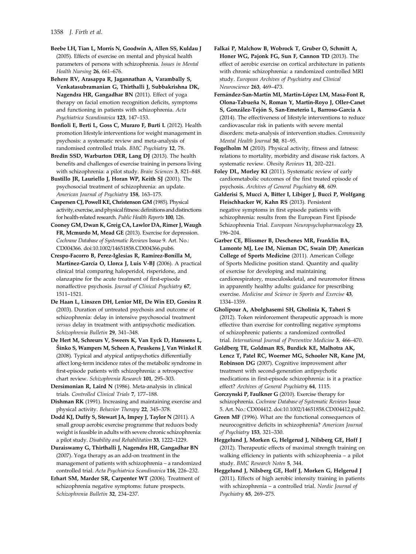<span id="page-15-0"></span>Beebe LH, Tian L, Morris N, Goodwin A, Allen SS, Kuldau J (2005). Effects of exercise on mental and physical health parameters of persons with schizophrenia. Issues in Mental Health Nursing 26, 661–676.

Behere RV, Arasappa R, Jagannathan A, Varambally S, Venkatasubramanian G, Thirthalli J, Subbakrishna DK, Nagendra HR, Gangadhar BN (2011). Effect of yoga therapy on facial emotion recognition deficits, symptoms and functioning in patients with schizophrenia. Acta Psychiatrica Scandinavica 123, 147–153.

Bonfioli E, Berti L, Goss C, Muraro F, Burti L (2012). Health promotion lifestyle interventions for weight management in psychosis: a systematic review and meta-analysis of randomised controlled trials. BMC Psychiatry 12, 78.

Bredin SSD, Warburton DER, Lang DJ (2013). The health benefits and challenges of exercise training in persons living with schizophrenia: a pilot study. Brain Sciences 3, 821–848.

Bustillo JR, Lauriello J, Horan WP, Keith SJ (2001). The psychosocial treatment of schizophrenia: an update. American Journal of Psychiatry 158, 163–175.

Caspersen CJ, Powell KE, Christenson GM (1985). Physical activity, exercise, and physical fitness: definitions and distinctions for health-related research. Public Health Reports 100, 126.

Cooney GM, Dwan K, Greig CA, Lawlor DA, Rimer J, Waugh FR, Mcmurdo M, Mead GE (2013). Exercise for depression. Cochrane Database of Systematic Reviews Issue 9. Art. No.: CD004366. doi:10.1002/14651858.CD004366.pub6.

Crespo-Facorro B, Perez-Iglesias R, Ramirez-Bonilla M, Martínez-García O, Llorca J, Luis V-BJ (2006). A practical clinical trial comparing haloperidol, risperidone, and olanzapine for the acute treatment of first-episode nonaffective psychosis. Journal of Clinical Psychiatry 67, 1511–1521.

De Haan L, Linszen DH, Lenior ME, De Win ED, Gorsira R (2003). Duration of untreated psychosis and outcome of schizophrenia: delay in intensive psychosocial treatment versus delay in treatment with antipsychotic medication. Schizophrenia Bulletin 29, 341–348.

De Hert M, Schreurs V, Sweers K, Van Eyck D, Hanssens L, Šinko S, Wampers M, Scheen A, Peuskens J, Van Winkel R (2008). Typical and atypical antipsychotics differentially affect long-term incidence rates of the metabolic syndrome in first-episode patients with schizophrenia: a retrospective chart review. Schizophrenia Research 101, 295–303.

Dersimonian R, Laird N (1986). Meta-analysis in clinical trials. Controlled Clinical Trials 7, 177–188.

Dishman RK (1991). Increasing and maintaining exercise and physical activity. Behavior Therapy 22, 345–378.

Dodd KJ, Duffy S, Stewart JA, Impey J, Taylor N (2011). A small group aerobic exercise programme that reduces body weight is feasible in adults with severe chronic schizophrenia: a pilot study. Disability and Rehabilitation 33, 1222–1229.

Duraiswamy G, Thirthalli J, Nagendra HR, Gangadhar BN (2007). Yoga therapy as an add-on treatment in the management of patients with schizophrenia – a randomized controlled trial. Acta Psychiatrica Scandinavica 116, 226–232.

Erhart SM, Marder SR, Carpenter WT (2006). Treatment of schizophrenia negative symptoms: future prospects. Schizophrenia Bulletin 32, 234–237.

Falkai P, Malchow B, Wobrock T, Gruber O, Schmitt A, Honer WG, Pajonk FG, Sun F, Cannon TD (2013). The effect of aerobic exercise on cortical architecture in patients with chronic schizophrenia: a randomized controlled MRI study. European Archives of Psychiatry and Clinical Neuroscience 263, 469–473.

Fernández-San-Martín MI, Martín-López LM, Masa-Font R, Olona-Tabueña N, Roman Y, Martin-Royo J, Oller-Canet S, González-Tejón S, San-Emeterio L, Barroso-Garcia A (2014). The effectiveness of lifestyle interventions to reduce cardiovascular risk in patients with severe mental disorders: meta-analysis of intervention studies. Community Mental Health Journal 50, 81–95.

Fogelholm M (2010). Physical activity, fitness and fatness: relations to mortality, morbidity and disease risk factors. A systematic review. Obesity Reviews 11, 202–221.

Foley DL, Morley KI (2011). Systematic review of early cardiometabolic outcomes of the first treated episode of psychosis. Archives of General Psychiatry 68, 609.

Galderisi S, Mucci A, Bitter I, Libiger J, Bucci P, Wolfgang Fleischhacker W, Kahn RS (2013). Persistent negative symptoms in first episode patients with schizophrenia: results from the European First Episode Schizophrenia Trial. European Neuropsychopharmacology 23, 196–204.

Garber CE, Blissmer B, Deschenes MR, Franklin BA, Lamonte MJ, Lee IM, Nieman DC, Swain DP; American College of Sports Medicine (2011). American College of Sports Medicine position stand. Quantity and quality of exercise for developing and maintaining cardiorespiratory, musculoskeletal, and neuromotor fitness in apparently healthy adults: guidance for prescribing exercise. Medicine and Science in Sports and Exercise 43, 1334–1359.

Gholipour A, Abolghasemi SH, Gholinia K, Taheri S (2012). Token reinforcement therapeutic approach is more effective than exercise for controlling negative symptoms of schizophrenic patients: a randomized controlled trial. International Journal of Preventive Medicine 3, 466–470.

Goldberg TE, Goldman RS, Burdick KE, Malhotra AK, Lencz T, Patel RC, Woerner MG, Schooler NR, Kane JM, Robinson DG (2007). Cognitive improvement after treatment with second-generation antipsychotic medications in first-episode schizophrenia: is it a practice effect? Archives of General Psychiatry 64, 1115.

Gorczynski P, Faulkner G (2010). Exercise therapy for schizophrenia. Cochrane Database of Systematic Reviews Issue 5. Art. No.: CD004412. doi:10.1002/14651858.CD004412.pub2.

Green MF (1996). What are the functional consequences of neurocognitive deficits in schizophrenia? American Journal of Psychiatry 153, 321–330.

Heggelund J, Morken G, Helgerud J, Nilsberg GE, Hoff J (2012). Therapeutic effects of maximal strength training on walking efficiency in patients with schizophrenia – a pilot study. BMC Research Notes 5, 344.

Heggelund J, Nilsberg GE, Hoff J, Morken G, Helgerud J (2011). Effects of high aerobic intensity training in patients with schizophrenia – a controlled trial. Nordic Journal of Psychiatry 65, 269–275.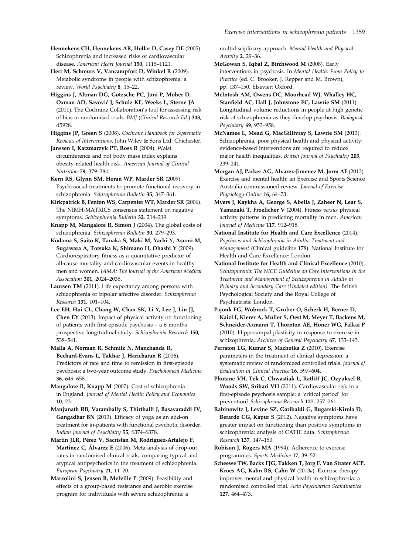<span id="page-16-0"></span>Hennekens CH, Hennekens AR, Hollar D, Casey DE (2005). Schizophrenia and increased risks of cardiovascular disease. American Heart Journal 150, 1115–1121.

Hert M, Schreurs V, Vancampfort D, Winkel R (2009). Metabolic syndrome in people with schizophrenia: a review. World Psychiatry 8, 15–22.

Higgins J, Altman DG, Gøtzsche PC, Jüni P, Moher D, Oxman AD, Savović J, Schulz KF, Weeks L, Sterne JA (2011). The Cochrane Collaboration's tool for assessing risk of bias in randomised trials. BMJ (Clinical Research Ed.) 343, d5928.

Higgins JP, Green S (2008). Cochrane Handbook for Systematic Reviews of Interventions. John Wiley & Sons Ltd: Chichester.

Janssen I, Katzmarzyk PT, Ross R (2004). Waist circumference and not body mass index explains obesity-related health risk. American Journal of Clinical Nutrition 79, 379–384.

Kern RS, Glynn SM, Horan WP, Marder SR (2009). Psychosocial treatments to promote functional recovery in schizophrenia. Schizophrenia Bulletin 35, 347–361.

Kirkpatrick B, Fenton WS, Carpenter WT, Marder SR (2006). The NIMH-MATRICS consensus statement on negative symptoms. Schizophrenia Bulletin 32, 214–219.

Knapp M, Mangalore R, Simon J (2004). The global costs of schizophrenia. Schizophrenia Bulletin 30, 279–293.

Kodama S, Saito K, Tanaka S, Maki M, Yachi Y, Asumi M, Sugawara A, Totsuka K, Shimano H, Ohashi Y (2009). Cardiorespiratory fitness as a quantitative predictor of all-cause mortality and cardiovascular events in healthy men and women. JAMA: The Journal of the American Medical Association 301, 2024–2035.

Laursen TM (2011). Life expectancy among persons with schizophrenia or bipolar affective disorder. Schizophrenia Research 131, 101–104.

Lee EH, Hui CL, Chang W, Chan SK, Li Y, Lee J, Lin JJ, Chen EY (2013). Impact of physical activity on functioning of patients with first-episode psychosis – a 6 months prospective longitudinal study. Schizophrenia Research 150, 538–541.

Malla A, Norman R, Schmitz N, Manchanda R, Bechard-Evans L, Takhar J, Haricharan R (2006). Predictors of rate and time to remission in first-episode psychosis: a two-year outcome study. Psychological Medicine 36, 649–658.

Mangalore R, Knapp M (2007). Cost of schizophrenia in England. Journal of Mental Health Policy and Economics 10, 23.

Manjunath RB, Varambally S, Thirthalli J, Basavaraddi IV, Gangadhar BN (2013). Efficacy of yoga as an add-on treatment for in-patients with functional psychotic disorder. Indian Journal of Psychiatry 55, S374–S378.

Martin JLR, Pérez V, Sacristán M, Rodríguez-Artalejo F, Martínez C, Álvarez E (2006). Meta-analysis of drop-out rates in randomised clinical trials, comparing typical and atypical antipsychotics in the treatment of schizophrenia. European Psychiatry 21, 11–20.

Marzolini S, Jensen B, Melville P (2009). Feasibility and effects of a group-based resistance and aerobic exercise program for individuals with severe schizophrenia: a

multidisciplinary approach. Mental Health and Physical Activity 2, 29–36.

McGowan S, Iqbal Z, Birchwood M (2008). Early interventions in psychosis. In Mental Health: From Policy to Practice (ed. C. Brooker, J. Repper and M. Brown), pp. 137–150. Elsevier: Oxford.

McIntosh AM, Owens DC, Moorhead WJ, Whalley HC, Stanfield AC, Hall J, Johnstone EC, Lawrie SM (2011). Longitudinal volume reductions in people at high genetic risk of schizophrenia as they develop psychosis. Biological Psychiatry 69, 953–958.

McNamee L, Mead G, MacGillivray S, Lawrie SM (2013). Schizophrenia, poor physical health and physical activity: evidence-based interventions are required to reduce major health inequalities. British Journal of Psychiatry 203, 239–241.

Morgan AJ, Parker AG, Alvarez-Jimenez M, Jorm AF (2013). Exercise and mental health: an Exercise and Sports Science Australia commissioned review. Journal of Exercise Physiology Online 16, 64–73.

Myers J, Kaykha A, George S, Abella J, Zaheer N, Lear S, Yamazaki T, Froelicher V (2004). Fitness versus physical activity patterns in predicting mortality in men. American Journal of Medicine 117, 912–918.

National Institute for Health and Care Excellence (2014). Psychosis and Schizophrenia in Adults: Treatment and Management (Clinical guideline 178). National Institute for Health and Care Excellence: London.

National Institute for Health and Clinical Excellence (2010). Schizophrenia: The NICE Guideline on Core Interventions in the Treatment and Management of Schizophrenia in Adults in Primary and Secondary Care (Updated edition). The British Psychological Society and the Royal College of Psychiatrists: London.

Pajonk FG, Wobrock T, Gruber O, Scherk H, Berner D, Kaizl I, Kierer A, Muller S, Oest M, Meyer T, Backens M, Schneider-Axmann T, Thornton AE, Honer WG, Falkai P (2010). Hippocampal plasticity in response to exercise in schizophrenia. Archives of General Psychiatry 67, 133–143.

Perraton LG, Kumar S, Machotka Z (2010). Exercise parameters in the treatment of clinical depression: a systematic review of randomized controlled trials. Journal of Evaluation in Clinical Practice 16, 597–604.

Phutane VH, Tek C, Chwastiak L, Ratliff JC, Ozyuksel B, Woods SW, Srihari VH (2011). Cardiovascular risk in a first-episode psychosis sample: a 'critical period' for prevention? Schizophrenia Research 127, 257–261.

Rabinowitz J, Levine SZ, Garibaldi G, Bugarski-Kirola D, Berardo CG, Kapur S (2012). Negative symptoms have greater impact on functioning than positive symptoms in schizophrenia: analysis of CATIE data. Schizophrenia Research 137, 147–150.

Robison J, Rogers MA (1994). Adherence to exercise programmes. Sports Medicine 17, 39–52.

Scheewe TW, Backx FJG, Takken T, Jorg F, Van Strater ACP, Kroes AG, Kahn RS, Cahn W (2013a). Exercise therapy improves mental and physical health in schizophrenia: a randomised controlled trial. Acta Psychiatrica Scandinavica 127, 464–473.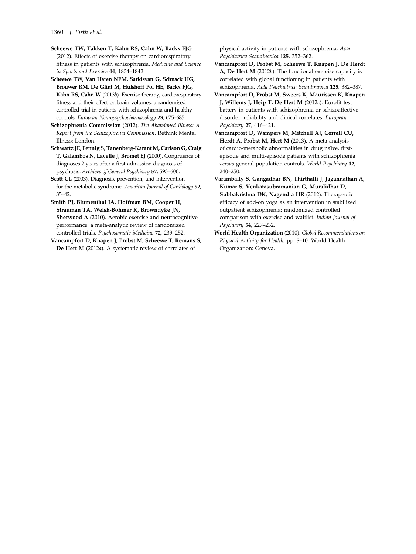<span id="page-17-0"></span>1360 J. Firth et al.

Scheewe TW, Takken T, Kahn RS, Cahn W, Backx FJG (2012). Effects of exercise therapy on cardiorespiratory fitness in patients with schizophrenia. Medicine and Science in Sports and Exercise 44, 1834–1842.

Scheewe TW, Van Haren NEM, Sarkisyan G, Schnack HG, Brouwer RM, De Glint M, Hulshoff Pol HE, Backx FJG, Kahn RS, Cahn W (2013b). Exercise therapy, cardiorespiratory fitness and their effect on brain volumes: a randomised controlled trial in patients with schizophrenia and healthy controls. European Neuropsychopharmacology 23, 675–685.

Schizophrenia Commission (2012). The Abandoned Illness: A Report from the Schizophrenia Commission. Rethink Mental Illness: London.

Schwartz JE, Fennig S, Tanenberg-Karant M, Carlson G, Craig T, Galambos N, Lavelle J, Bromet EJ (2000). Congruence of diagnoses 2 years after a first-admission diagnosis of psychosis. Archives of General Psychiatry 57, 593–600.

Scott CL (2003). Diagnosis, prevention, and intervention for the metabolic syndrome. American Journal of Cardiology 92, 35–42.

Smith PJ, Blumenthal JA, Hoffman BM, Cooper H, Strauman TA, Welsh-Bohmer K, Browndyke JN, Sherwood A (2010). Aerobic exercise and neurocognitive performance: a meta-analytic review of randomized controlled trials. Psychosomatic Medicine 72, 239–252.

Vancampfort D, Knapen J, Probst M, Scheewe T, Remans S, De Hert M (2012a). A systematic review of correlates of

physical activity in patients with schizophrenia. Acta Psychiatrica Scandinavica 125, 352–362.

- Vancampfort D, Probst M, Scheewe T, Knapen J, De Herdt A, De Hert M (2012b). The functional exercise capacity is correlated with global functioning in patients with schizophrenia. Acta Psychiatrica Scandinavica 125, 382–387.
- Vancampfort D, Probst M, Sweers K, Maurissen K, Knapen J, Willems J, Heip T, De Hert M (2012c). Eurofit test battery in patients with schizophrenia or schizoaffective disorder: reliability and clinical correlates. European Psychiatry 27, 416–421.
- Vancampfort D, Wampers M, Mitchell AJ, Correll CU, Herdt A, Probst M, Hert M (2013). A meta-analysis of cardio-metabolic abnormalities in drug naïve, firstepisode and multi-episode patients with schizophrenia versus general population controls. World Psychiatry 12, 240–250.
- Varambally S, Gangadhar BN, Thirthalli J, Jagannathan A, Kumar S, Venkatasubramanian G, Muralidhar D, Subbakrishna DK, Nagendra HR (2012). Therapeutic efficacy of add-on yoga as an intervention in stabilized outpatient schizophrenia: randomized controlled comparison with exercise and waitlist. Indian Journal of Psychiatry 54, 227–232.
- World Health Organization (2010). Global Recommendations on Physical Activity for Health, pp. 8–10. World Health Organization: Geneva.